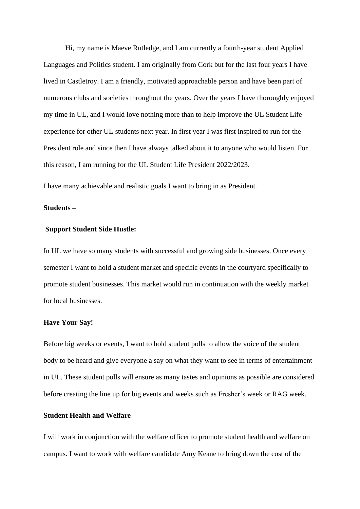Hi, my name is Maeve Rutledge, and I am currently a fourth-year student Applied Languages and Politics student. I am originally from Cork but for the last four years I have lived in Castletroy. I am a friendly, motivated approachable person and have been part of numerous clubs and societies throughout the years. Over the years I have thoroughly enjoyed my time in UL, and I would love nothing more than to help improve the UL Student Life experience for other UL students next year. In first year I was first inspired to run for the President role and since then I have always talked about it to anyone who would listen. For this reason, I am running for the UL Student Life President 2022/2023.

I have many achievable and realistic goals I want to bring in as President.

### **Students –**

### **Support Student Side Hustle:**

In UL we have so many students with successful and growing side businesses. Once every semester I want to hold a student market and specific events in the courtyard specifically to promote student businesses. This market would run in continuation with the weekly market for local businesses.

#### **Have Your Say!**

Before big weeks or events, I want to hold student polls to allow the voice of the student body to be heard and give everyone a say on what they want to see in terms of entertainment in UL. These student polls will ensure as many tastes and opinions as possible are considered before creating the line up for big events and weeks such as Fresher's week or RAG week.

## **Student Health and Welfare**

I will work in conjunction with the welfare officer to promote student health and welfare on campus. I want to work with welfare candidate Amy Keane to bring down the cost of the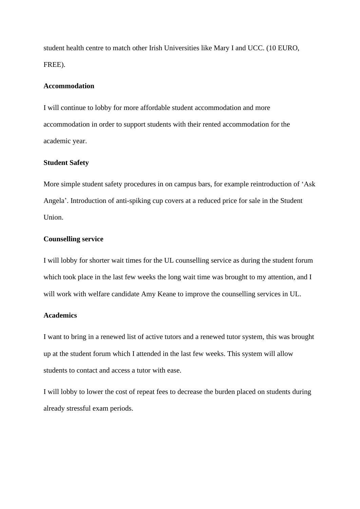student health centre to match other Irish Universities like Mary I and UCC. (10 EURO, FREE).

## **Accommodation**

I will continue to lobby for more affordable student accommodation and more accommodation in order to support students with their rented accommodation for the academic year.

### **Student Safety**

More simple student safety procedures in on campus bars, for example reintroduction of 'Ask Angela'. Introduction of anti-spiking cup covers at a reduced price for sale in the Student Union.

### **Counselling service**

I will lobby for shorter wait times for the UL counselling service as during the student forum which took place in the last few weeks the long wait time was brought to my attention, and I will work with welfare candidate Amy Keane to improve the counselling services in UL.

## **Academics**

I want to bring in a renewed list of active tutors and a renewed tutor system, this was brought up at the student forum which I attended in the last few weeks. This system will allow students to contact and access a tutor with ease.

I will lobby to lower the cost of repeat fees to decrease the burden placed on students during already stressful exam periods.